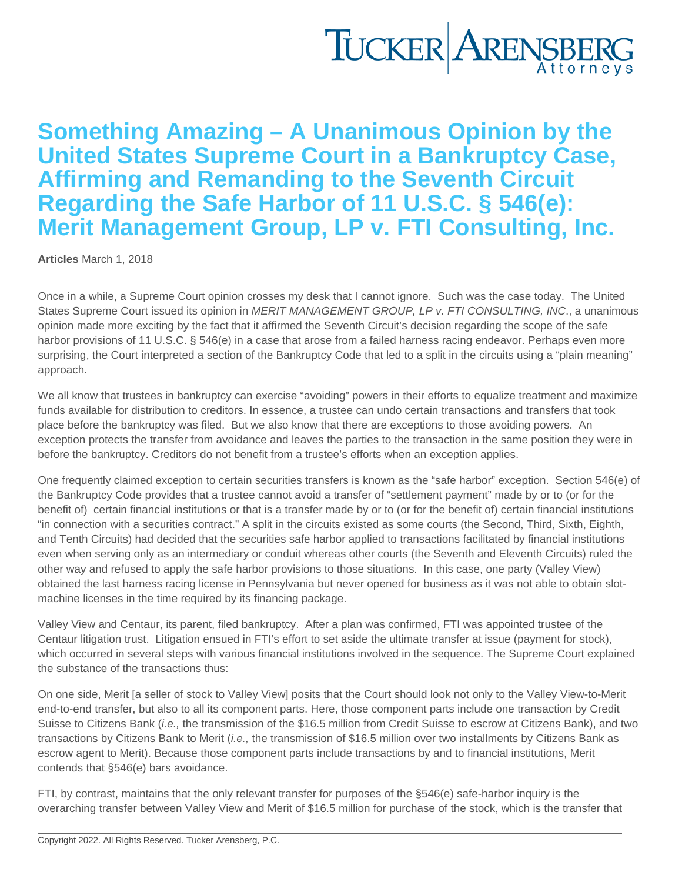Something Amazing – A Unanimous Opinion by the United States Supreme Court in a Bankruptcy Case, Affirming and Remanding to the Seventh Circuit Regarding the Safe Harbor of 11 U.S.C. § 546(e): Merit Management Group, LP v. FTI Consulting, Inc.

[Articles](https://www.tuckerlaw.com/category/articles/) March 1, 2018

Once in a while, a Supreme Court opinion crosses my desk that I cannot ignore. Such was the case today. The United States Supreme Court issued its opinion in MERIT MANAGEMENT GROUP, LP v. FTI CONSULTING, INC., a unanimous opinion made more exciting by the fact that it affirmed the Seventh Circuit's decision regarding the scope of the safe harbor provisions of 11 U.S.C. § 546(e) in a case that arose from a failed harness racing endeavor. Perhaps even more surprising, the Court interpreted a section of the Bankruptcy Code that led to a split in the circuits using a "plain meaning" approach.

We all know that trustees in bankruptcy can exercise "avoiding" powers in their efforts to equalize treatment and maximize funds available for distribution to creditors. In essence, a trustee can undo certain transactions and transfers that took place before the bankruptcy was filed. But we also know that there are exceptions to those avoiding powers. An exception protects the transfer from avoidance and leaves the parties to the transaction in the same position they were in before the bankruptcy. Creditors do not benefit from a trustee's efforts when an exception applies.

One frequently claimed exception to certain securities transfers is known as the "safe harbor" exception. Section 546(e) of the Bankruptcy Code provides that a trustee cannot avoid a transfer of "settlement payment" made by or to (or for the benefit of) certain financial institutions or that is a transfer made by or to (or for the benefit of) certain financial institutions "in connection with a securities contract." A split in the circuits existed as some courts (the Second, Third, Sixth, Eighth, and Tenth Circuits) had decided that the securities safe harbor applied to transactions facilitated by financial institutions even when serving only as an intermediary or conduit whereas other courts (the Seventh and Eleventh Circuits) ruled the other way and refused to apply the safe harbor provisions to those situations. In this case, one party (Valley View) obtained the last harness racing license in Pennsylvania but never opened for business as it was not able to obtain slotmachine licenses in the time required by its financing package.

Valley View and Centaur, its parent, filed bankruptcy. After a plan was confirmed, FTI was appointed trustee of the Centaur litigation trust. Litigation ensued in FTI's effort to set aside the ultimate transfer at issue (payment for stock), which occurred in several steps with various financial institutions involved in the sequence. The Supreme Court explained the substance of the transactions thus:

On one side, Merit [a seller of stock to Valley View] posits that the Court should look not only to the Valley View-to-Merit end-to-end transfer, but also to all its component parts. Here, those component parts include one transaction by Credit Suisse to Citizens Bank (i.e., the transmission of the \$16.5 million from Credit Suisse to escrow at Citizens Bank), and two transactions by Citizens Bank to Merit (i.e., the transmission of \$16.5 million over two installments by Citizens Bank as escrow agent to Merit). Because those component parts include transactions by and to financial institutions, Merit contends that §546(e) bars avoidance.

FTI, by contrast, maintains that the only relevant transfer for purposes of the §546(e) safe-harbor inquiry is the overarching transfer between Valley View and Merit of \$16.5 million for purchase of the stock, which is the transfer that